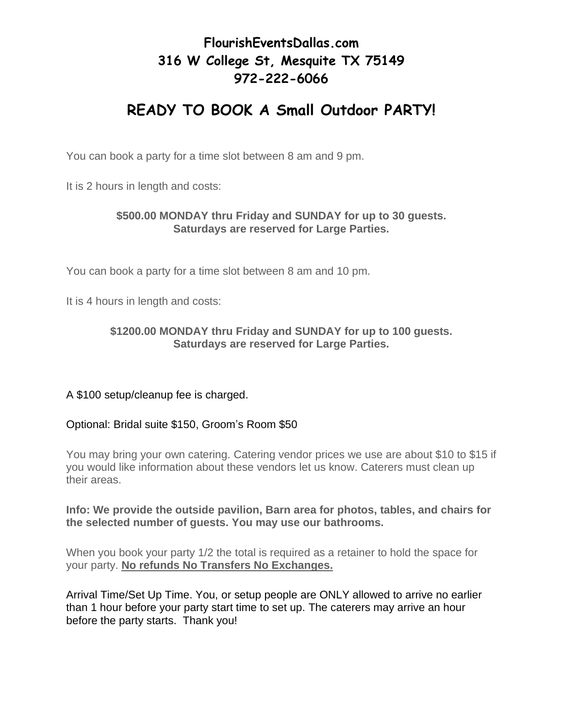## **FlourishEventsDallas.com 316 W College St, Mesquite TX 75149 972-222-6066**

# **READY TO BOOK A Small Outdoor PARTY!**

You can book a party for a time slot between 8 am and 9 pm.

It is 2 hours in length and costs:

#### **\$500.00 MONDAY thru Friday and SUNDAY for up to 30 guests. Saturdays are reserved for Large Parties.**

You can book a party for a time slot between 8 am and 10 pm.

It is 4 hours in length and costs:

#### **\$1200.00 MONDAY thru Friday and SUNDAY for up to 100 guests. Saturdays are reserved for Large Parties.**

### A \$100 setup/cleanup fee is charged.

#### Optional: Bridal suite \$150, Groom's Room \$50

You may bring your own catering. Catering vendor prices we use are about \$10 to \$15 if you would like information about these vendors let us know. Caterers must clean up their areas.

#### **Info: We provide the outside pavilion, Barn area for photos, tables, and chairs for the selected number of guests. You may use our bathrooms.**

When you book your party 1/2 the total is required as a retainer to hold the space for your party. **No refunds No Transfers No Exchanges.** 

Arrival Time/Set Up Time. You, or setup people are ONLY allowed to arrive no earlier than 1 hour before your party start time to set up. The caterers may arrive an hour before the party starts. Thank you!